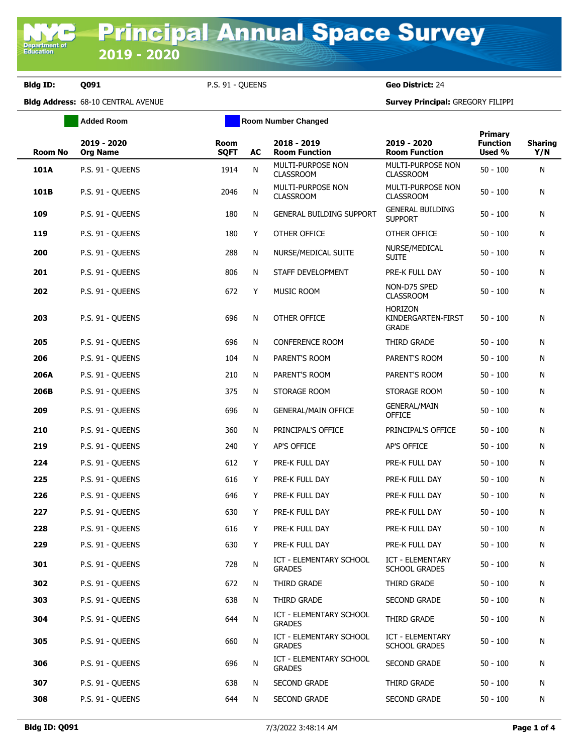**Department of**<br>Education

**Bldg ID: Q091** P.S. 91 - QUEENS **Geo District:** 24

**Bldg Address:** 68-10 CENTRAL AVENUE **Survey Principal:** GREGORY FILIPPI

|                | <b>Added Room</b>              |                     | <b>Room Number Changed</b> |                                                 |                                                      |                                      |                       |
|----------------|--------------------------------|---------------------|----------------------------|-------------------------------------------------|------------------------------------------------------|--------------------------------------|-----------------------|
| <b>Room No</b> | 2019 - 2020<br><b>Org Name</b> | Room<br><b>SQFT</b> | AC                         | 2018 - 2019<br><b>Room Function</b>             | 2019 - 2020<br><b>Room Function</b>                  | Primary<br><b>Function</b><br>Used % | <b>Sharing</b><br>Y/N |
| 101A           | P.S. 91 - QUEENS               | 1914                | N                          | MULTI-PURPOSE NON<br><b>CLASSROOM</b>           | MULTI-PURPOSE NON<br><b>CLASSROOM</b>                | $50 - 100$                           | N                     |
| 101B           | P.S. 91 - QUEENS               | 2046                | N                          | MULTI-PURPOSE NON<br><b>CLASSROOM</b>           | MULTI-PURPOSE NON<br><b>CLASSROOM</b>                | $50 - 100$                           | N                     |
| 109            | P.S. 91 - OUEENS               | 180                 | N                          | <b>GENERAL BUILDING SUPPORT</b>                 | <b>GENERAL BUILDING</b><br><b>SUPPORT</b>            | $50 - 100$                           | N                     |
| 119            | P.S. 91 - QUEENS               | 180                 | Y                          | OTHER OFFICE                                    | OTHER OFFICE                                         | $50 - 100$                           | N                     |
| 200            | P.S. 91 - OUEENS               | 288                 | N                          | NURSE/MEDICAL SUITE                             | NURSE/MEDICAL<br><b>SUITE</b>                        | $50 - 100$                           | N                     |
| 201            | P.S. 91 - QUEENS               | 806                 | N                          | STAFF DEVELOPMENT                               | PRE-K FULL DAY                                       | $50 - 100$                           | N                     |
| 202            | P.S. 91 - QUEENS               | 672                 | Y                          | MUSIC ROOM                                      | NON-D75 SPED<br><b>CLASSROOM</b>                     | $50 - 100$                           | N                     |
| 203            | P.S. 91 - QUEENS               | 696                 | N                          | OTHER OFFICE                                    | <b>HORIZON</b><br>KINDERGARTEN-FIRST<br><b>GRADE</b> | $50 - 100$                           | N                     |
| 205            | P.S. 91 - QUEENS               | 696                 | N                          | <b>CONFERENCE ROOM</b>                          | THIRD GRADE                                          | $50 - 100$                           | N                     |
| 206            | P.S. 91 - QUEENS               | 104                 | N                          | PARENT'S ROOM                                   | PARENT'S ROOM                                        | $50 - 100$                           | N                     |
| 206A           | P.S. 91 - OUEENS               | 210                 | N                          | PARENT'S ROOM                                   | PARENT'S ROOM                                        | $50 - 100$                           | N                     |
| 206B           | P.S. 91 - QUEENS               | 375                 | N                          | STORAGE ROOM                                    | STORAGE ROOM                                         | $50 - 100$                           | N                     |
| 209            | P.S. 91 - QUEENS               | 696                 | N                          | <b>GENERAL/MAIN OFFICE</b>                      | <b>GENERAL/MAIN</b><br><b>OFFICE</b>                 | $50 - 100$                           | N                     |
| 210            | P.S. 91 - QUEENS               | 360                 | N                          | PRINCIPAL'S OFFICE                              | PRINCIPAL'S OFFICE                                   | $50 - 100$                           | N                     |
| 219            | P.S. 91 - QUEENS               | 240                 | Y                          | <b>AP'S OFFICE</b>                              | AP'S OFFICE                                          | $50 - 100$                           | N                     |
| 224            | P.S. 91 - QUEENS               | 612                 | Y                          | PRE-K FULL DAY                                  | PRE-K FULL DAY                                       | $50 - 100$                           | N                     |
| 225            | P.S. 91 - QUEENS               | 616                 | Y                          | PRE-K FULL DAY                                  | PRE-K FULL DAY                                       | $50 - 100$                           | N                     |
| 226            | P.S. 91 - QUEENS               | 646                 | Y                          | PRE-K FULL DAY                                  | PRE-K FULL DAY                                       | $50 - 100$                           | N                     |
| 227            | P.S. 91 - QUEENS               | 630                 | Y                          | PRE-K FULL DAY                                  | PRE-K FULL DAY                                       | $50 - 100$                           | N                     |
| 228            | P.S. 91 - QUEENS               | 616                 | Y                          | PRE-K FULL DAY                                  | PRE-K FULL DAY                                       | $50 - 100$                           | N                     |
| 229            | P.S. 91 - QUEENS               | 630                 | Y                          | PRE-K FULL DAY                                  | PRE-K FULL DAY                                       | $50 - 100$                           | N                     |
| 301            | P.S. 91 - QUEENS               | 728                 | N                          | <b>ICT - ELEMENTARY SCHOOL</b><br><b>GRADES</b> | ICT - ELEMENTARY<br><b>SCHOOL GRADES</b>             | $50 - 100$                           | N                     |
| 302            | P.S. 91 - QUEENS               | 672                 | N                          | THIRD GRADE                                     | THIRD GRADE                                          | $50 - 100$                           | N                     |
| 303            | P.S. 91 - QUEENS               | 638                 | N                          | THIRD GRADE                                     | SECOND GRADE                                         | $50 - 100$                           | N                     |
| 304            | P.S. 91 - QUEENS               | 644                 | N                          | <b>ICT - ELEMENTARY SCHOOL</b><br><b>GRADES</b> | THIRD GRADE                                          | $50 - 100$                           | N                     |
| 305            | P.S. 91 - OUEENS               | 660                 | N                          | ICT - ELEMENTARY SCHOOL<br><b>GRADES</b>        | ICT - ELEMENTARY<br><b>SCHOOL GRADES</b>             | $50 - 100$                           | N                     |
| 306            | P.S. 91 - QUEENS               | 696                 | N                          | <b>ICT - ELEMENTARY SCHOOL</b><br><b>GRADES</b> | SECOND GRADE                                         | $50 - 100$                           | N                     |
| 307            | P.S. 91 - QUEENS               | 638                 | N                          | SECOND GRADE                                    | THIRD GRADE                                          | $50 - 100$                           | N                     |
| 308            | P.S. 91 - QUEENS               | 644                 | N                          | SECOND GRADE                                    | SECOND GRADE                                         | $50 - 100$                           | N                     |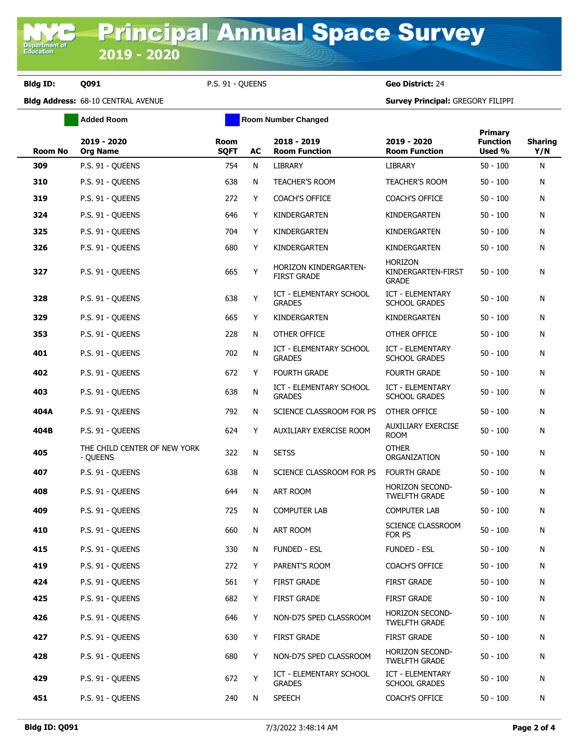**Bldg ID: Q091** P.S. 91 - QUEENS **Geo District:** 24

**Bldg Address:** 68-10 CENTRAL AVENUE **Survey Principal:** GREGORY FILIPPI

|                | <b>Added Room</b>                        | <b>Room Number Changed</b> |    |                                                 |                                                      |                                             |                       |
|----------------|------------------------------------------|----------------------------|----|-------------------------------------------------|------------------------------------------------------|---------------------------------------------|-----------------------|
| <b>Room No</b> | 2019 - 2020<br><b>Org Name</b>           | <b>Room</b><br><b>SQFT</b> | AC | 2018 - 2019<br><b>Room Function</b>             | 2019 - 2020<br><b>Room Function</b>                  | <b>Primary</b><br><b>Function</b><br>Used % | <b>Sharing</b><br>Y/N |
| 309            | P.S. 91 - QUEENS                         | 754                        | N  | <b>LIBRARY</b>                                  | <b>LIBRARY</b>                                       | $50 - 100$                                  | N                     |
| 310            | P.S. 91 - OUEENS                         | 638                        | N  | <b>TEACHER'S ROOM</b>                           | <b>TEACHER'S ROOM</b>                                | $50 - 100$                                  | N                     |
| 319            | P.S. 91 - QUEENS                         | 272                        | Y  | <b>COACH'S OFFICE</b>                           | <b>COACH'S OFFICE</b>                                | $50 - 100$                                  | N                     |
| 324            | P.S. 91 - QUEENS                         | 646                        | Y  | KINDERGARTEN                                    | KINDERGARTEN                                         | $50 - 100$                                  | N                     |
| 325            | P.S. 91 - OUEENS                         | 704                        | Y  | KINDERGARTEN                                    | KINDERGARTEN                                         | $50 - 100$                                  | N                     |
| 326            | P.S. 91 - QUEENS                         | 680                        | Y  | KINDERGARTEN                                    | KINDERGARTEN                                         | $50 - 100$                                  | N                     |
| 327            | P.S. 91 - QUEENS                         | 665                        | Y  | HORIZON KINDERGARTEN-<br><b>FIRST GRADE</b>     | <b>HORIZON</b><br>KINDERGARTEN-FIRST<br><b>GRADE</b> | $50 - 100$                                  | Ν                     |
| 328            | P.S. 91 - QUEENS                         | 638                        | Υ  | <b>ICT - ELEMENTARY SCHOOL</b><br><b>GRADES</b> | <b>ICT - ELEMENTARY</b><br><b>SCHOOL GRADES</b>      | $50 - 100$                                  | N                     |
| 329            | P.S. 91 - QUEENS                         | 665                        | Y  | KINDERGARTEN                                    | KINDERGARTEN                                         | $50 - 100$                                  | N                     |
| 353            | P.S. 91 - QUEENS                         | 228                        | N  | OTHER OFFICE                                    | OTHER OFFICE                                         | $50 - 100$                                  | N                     |
| 401            | P.S. 91 - QUEENS                         | 702                        | N  | <b>ICT - ELEMENTARY SCHOOL</b><br><b>GRADES</b> | ICT - ELEMENTARY<br><b>SCHOOL GRADES</b>             | $50 - 100$                                  | N                     |
| 402            | P.S. 91 - QUEENS                         | 672                        | Y  | <b>FOURTH GRADE</b>                             | <b>FOURTH GRADE</b>                                  | $50 - 100$                                  | N                     |
| 403            | P.S. 91 - QUEENS                         | 638                        | N  | <b>ICT - ELEMENTARY SCHOOL</b><br><b>GRADES</b> | <b>ICT - ELEMENTARY</b><br><b>SCHOOL GRADES</b>      | $50 - 100$                                  | N                     |
| 404A           | P.S. 91 - QUEENS                         | 792                        | N  | SCIENCE CLASSROOM FOR PS                        | OTHER OFFICE                                         | $50 - 100$                                  | N                     |
| 404B           | P.S. 91 - QUEENS                         | 624                        | Y  | AUXILIARY EXERCISE ROOM                         | <b>AUXILIARY EXERCISE</b><br><b>ROOM</b>             | $50 - 100$                                  | N                     |
| 405            | THE CHILD CENTER OF NEW YORK<br>- QUEENS | 322                        | N  | <b>SETSS</b>                                    | <b>OTHER</b><br>ORGANIZATION                         | $50 - 100$                                  | N                     |
| 407            | P.S. 91 - QUEENS                         | 638                        | N  | SCIENCE CLASSROOM FOR PS                        | <b>FOURTH GRADE</b>                                  | $50 - 100$                                  | N                     |
| 408            | P.S. 91 - QUEENS                         | 644                        | N  | ART ROOM                                        | <b>HORIZON SECOND-</b><br><b>TWELFTH GRADE</b>       | $50 - 100$                                  | N                     |
| 409            | P.S. 91 - OUEENS                         | 725                        | N  | <b>COMPUTER LAB</b>                             | <b>COMPUTER LAB</b>                                  | $50 - 100$                                  | N                     |
| 410            | P.S. 91 - QUEENS                         | 660                        | N  | <b>ART ROOM</b>                                 | SCIENCE CLASSROOM<br>FOR PS                          | $50 - 100$                                  | N                     |
| 415            | P.S. 91 - QUEENS                         | 330                        | N  | FUNDED - ESL                                    | FUNDED - ESL                                         | $50 - 100$                                  | Ν                     |
| 419            | P.S. 91 - QUEENS                         | 272                        | Y  | PARENT'S ROOM                                   | COACH'S OFFICE                                       | $50 - 100$                                  | Ν                     |
| 424            | P.S. 91 - QUEENS                         | 561                        | Y  | <b>FIRST GRADE</b>                              | <b>FIRST GRADE</b>                                   | $50 - 100$                                  | N                     |
| 425            | P.S. 91 - QUEENS                         | 682                        | Y  | <b>FIRST GRADE</b>                              | <b>FIRST GRADE</b>                                   | $50 - 100$                                  | N                     |
| 426            | P.S. 91 - QUEENS                         | 646                        | Y  | NON-D75 SPED CLASSROOM                          | <b>HORIZON SECOND-</b><br>TWELFTH GRADE              | $50 - 100$                                  | N                     |
| 427            | P.S. 91 - QUEENS                         | 630                        | Y  | <b>FIRST GRADE</b>                              | <b>FIRST GRADE</b>                                   | $50 - 100$                                  | N                     |
| 428            | P.S. 91 - QUEENS                         | 680                        | Y  | NON-D75 SPED CLASSROOM                          | HORIZON SECOND-<br><b>TWELFTH GRADE</b>              | $50 - 100$                                  | N                     |
| 429            | P.S. 91 - QUEENS                         | 672                        | Υ  | ICT - ELEMENTARY SCHOOL<br><b>GRADES</b>        | ICT - ELEMENTARY<br>SCHOOL GRADES                    | $50 - 100$                                  | N                     |
| 451            | P.S. 91 - QUEENS                         | 240                        | N  | <b>SPEECH</b>                                   | COACH'S OFFICE                                       | $50 - 100$                                  | N                     |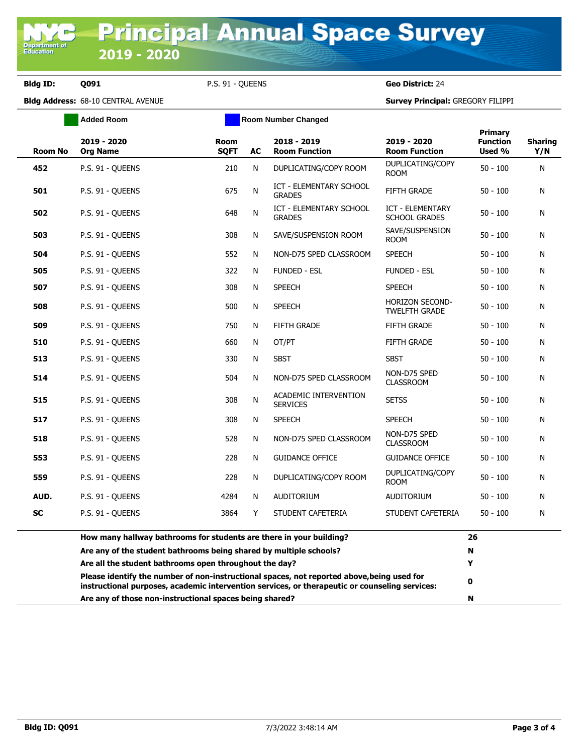**Bldg ID: Q091** P.S. 91 - QUEENS **Geo District:** 24

**Bldg Address:** 68-10 CENTRAL AVENUE **Survey Principal:** GREGORY FILIPPI

|                | <b>Added Room</b>                                                                                                                                    |                            | <b>Room Number Changed</b> |                                                                                                |                                                 |                                      |                       |
|----------------|------------------------------------------------------------------------------------------------------------------------------------------------------|----------------------------|----------------------------|------------------------------------------------------------------------------------------------|-------------------------------------------------|--------------------------------------|-----------------------|
| <b>Room No</b> | 2019 - 2020<br><b>Org Name</b>                                                                                                                       | <b>Room</b><br><b>SQFT</b> | AC                         | 2018 - 2019<br><b>Room Function</b>                                                            | 2019 - 2020<br><b>Room Function</b>             | Primary<br><b>Function</b><br>Used % | <b>Sharing</b><br>Y/N |
| 452            | P.S. 91 - QUEENS                                                                                                                                     | 210                        | N                          | DUPLICATING/COPY ROOM                                                                          | DUPLICATING/COPY<br><b>ROOM</b>                 | $50 - 100$                           | N                     |
| 501            | P.S. 91 - QUEENS                                                                                                                                     | 675                        | N                          | ICT - ELEMENTARY SCHOOL<br><b>GRADES</b>                                                       | <b>FIFTH GRADE</b>                              | $50 - 100$                           | N                     |
| 502            | P.S. 91 - QUEENS                                                                                                                                     | 648                        | N                          | <b>ICT - ELEMENTARY SCHOOL</b><br><b>GRADES</b>                                                | <b>ICT - ELEMENTARY</b><br><b>SCHOOL GRADES</b> | $50 - 100$                           | N                     |
| 503            | P.S. 91 - QUEENS                                                                                                                                     | 308                        | N                          | SAVE/SUSPENSION ROOM                                                                           | SAVE/SUSPENSION<br><b>ROOM</b>                  | $50 - 100$                           | N                     |
| 504            | P.S. 91 - OUEENS                                                                                                                                     | 552                        | N                          | NON-D75 SPED CLASSROOM                                                                         | <b>SPEECH</b>                                   | $50 - 100$                           | N                     |
| 505            | P.S. 91 - QUEENS                                                                                                                                     | 322                        | N                          | <b>FUNDED - ESL</b>                                                                            | FUNDED - ESL                                    | $50 - 100$                           | N                     |
| 507            | P.S. 91 - QUEENS                                                                                                                                     | 308                        | N                          | <b>SPEECH</b>                                                                                  | <b>SPEECH</b>                                   | $50 - 100$                           | N                     |
| 508            | P.S. 91 - QUEENS                                                                                                                                     | 500                        | N                          | <b>SPEECH</b>                                                                                  | <b>HORIZON SECOND-</b><br><b>TWELFTH GRADE</b>  | $50 - 100$                           | N                     |
| 509            | P.S. 91 - OUEENS                                                                                                                                     | 750                        | N                          | <b>FIFTH GRADE</b>                                                                             | <b>FIFTH GRADE</b>                              | $50 - 100$                           | N                     |
| 510            | P.S. 91 - QUEENS                                                                                                                                     | 660                        | N                          | OT/PT                                                                                          | <b>FIFTH GRADE</b>                              | $50 - 100$                           | N                     |
| 513            | P.S. 91 - QUEENS                                                                                                                                     | 330                        | N                          | <b>SBST</b>                                                                                    | <b>SBST</b>                                     | $50 - 100$                           | N                     |
| 514            | P.S. 91 - QUEENS                                                                                                                                     | 504                        | N                          | NON-D75 SPED CLASSROOM                                                                         | NON-D75 SPED<br><b>CLASSROOM</b>                | $50 - 100$                           | N                     |
| 515            | P.S. 91 - QUEENS                                                                                                                                     | 308                        | N                          | ACADEMIC INTERVENTION<br><b>SERVICES</b>                                                       | <b>SETSS</b>                                    | $50 - 100$                           | N                     |
| 517            | P.S. 91 - QUEENS                                                                                                                                     | 308                        | N                          | <b>SPEECH</b>                                                                                  | <b>SPEECH</b>                                   | $50 - 100$                           | N                     |
| 518            | P.S. 91 - QUEENS                                                                                                                                     | 528                        | N                          | NON-D75 SPED CLASSROOM                                                                         | NON-D75 SPED<br><b>CLASSROOM</b>                | $50 - 100$                           | N                     |
| 553            | P.S. 91 - QUEENS                                                                                                                                     | 228                        | N                          | <b>GUIDANCE OFFICE</b>                                                                         | <b>GUIDANCE OFFICE</b>                          | $50 - 100$                           | N                     |
| 559            | P.S. 91 - QUEENS                                                                                                                                     | 228                        | N                          | DUPLICATING/COPY ROOM                                                                          | DUPLICATING/COPY<br><b>ROOM</b>                 | $50 - 100$                           | N                     |
| AUD.           | P.S. 91 - OUEENS                                                                                                                                     | 4284                       | N                          | <b>AUDITORIUM</b>                                                                              | <b>AUDITORIUM</b>                               | $50 - 100$                           | N                     |
| <b>SC</b>      | P.S. 91 - QUEENS                                                                                                                                     | 3864                       | Y                          | STUDENT CAFETERIA                                                                              | STUDENT CAFETERIA                               | $50 - 100$                           | N                     |
|                | How many hallway bathrooms for students are there in your building?                                                                                  |                            |                            |                                                                                                |                                                 |                                      |                       |
|                | Are any of the student bathrooms being shared by multiple schools?                                                                                   |                            |                            |                                                                                                |                                                 | N                                    |                       |
|                | Are all the student bathrooms open throughout the day?<br>Please identify the number of non-instructional spaces, not reported above, being used for |                            |                            |                                                                                                |                                                 | Y                                    |                       |
|                |                                                                                                                                                      |                            |                            | instructional purposes, academic intervention services, or therapeutic or counseling services: |                                                 | 0                                    |                       |
|                | Are any of those non-instructional spaces being shared?                                                                                              |                            |                            |                                                                                                |                                                 |                                      |                       |